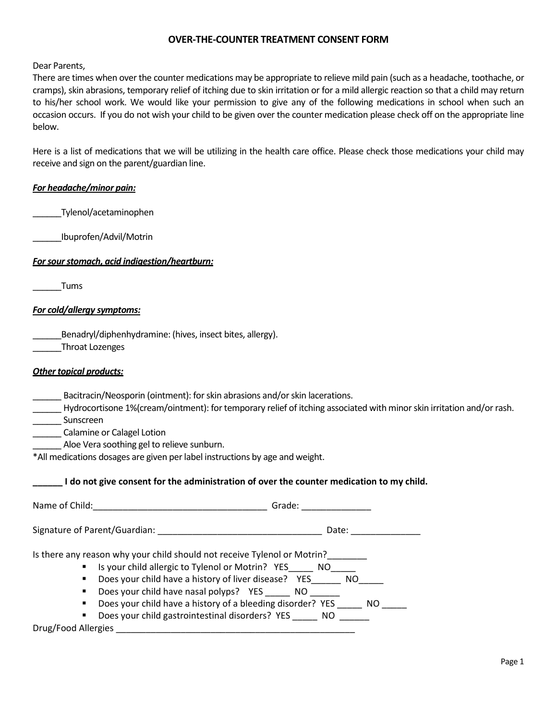# **OVER-THE-COUNTER TREATMENT CONSENT FORM**

Dear Parents,

There are times when over the counter medications may be appropriate to relieve mild pain (such as a headache, toothache, or cramps), skin abrasions, temporary relief of itching due to skin irritation or for a mild allergic reaction so that a child may return to his/her school work. We would like your permission to give any of the following medications in school when such an occasion occurs. If you do not wish your child to be given over the counter medication please check off on the appropriate line below.

Here is a list of medications that we will be utilizing in the health care office. Please check those medications your child may receive and sign on the parent/guardian line.

## *For headache/minor pain:*

\_\_\_\_\_\_Tylenol/acetaminophen

\_\_\_\_\_\_Ibuprofen/Advil/Motrin

*For sour stomach, acid indigestion/heartburn:*

\_\_\_\_\_\_Tums

## *For cold/allergy symptoms:*

\_\_\_\_\_\_Benadryl/diphenhydramine: (hives, insect bites, allergy).

\_\_\_\_\_\_Throat Lozenges

| <b>Other topical products:</b> |  |
|--------------------------------|--|
|--------------------------------|--|

| Bacitracin/Neosporin (ointment): for skin abrasions and/or skin lacerations. |  |  |
|------------------------------------------------------------------------------|--|--|
|                                                                              |  |  |

\_\_\_\_\_\_ Hydrocortisone 1%(cream/ointment): for temporary relief of itching associated with minor skin irritation and/or rash.

\_\_\_\_\_\_ Sunscreen

\_\_\_\_\_\_ Calamine or Calagel Lotion

\_\_\_\_\_\_ Aloe Vera soothing gel to relieve sunburn.

\*All medications dosages are given per label instructions by age and weight.

#### **\_\_\_\_\_\_ I do not give consent for the administration of over the counter medication to my child.**

| Signature of Parent/Guardian:<br>Date:                                                                                                                                                                                                                                                                                                                                                                                | Name of Child: | Grade: |
|-----------------------------------------------------------------------------------------------------------------------------------------------------------------------------------------------------------------------------------------------------------------------------------------------------------------------------------------------------------------------------------------------------------------------|----------------|--------|
|                                                                                                                                                                                                                                                                                                                                                                                                                       |                |        |
| Is there any reason why your child should not receive Tylenol or Motrin?<br>Is your child allergic to Tylenol or Motrin? YES NO<br>Does your child have a history of liver disease? YES<br>NO.<br>٠<br>Does your child have nasal polyps? YES NO<br>٠<br>Does your child have a history of a bleeding disorder? YES<br>NO.<br>٠<br>Does your child gastrointestinal disorders? YES<br>NO.<br>٠<br>Drug/Food Allergies |                |        |

Page 1